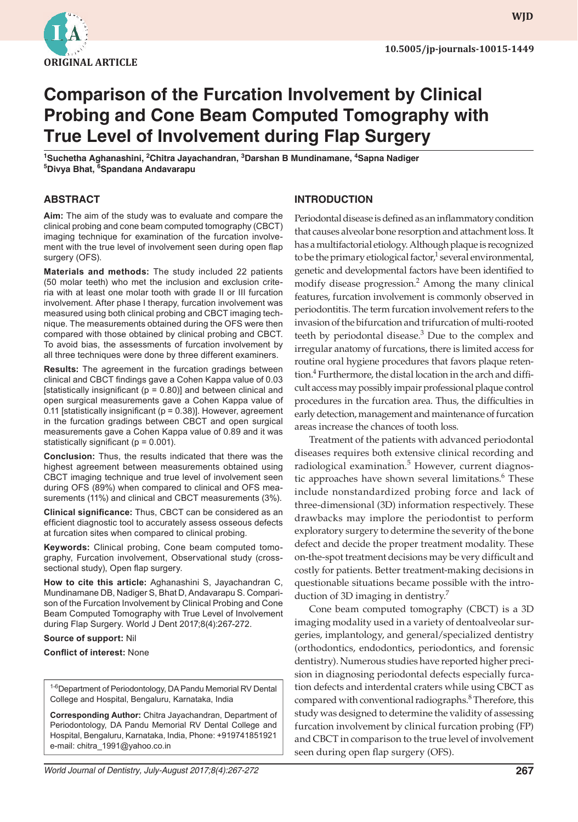

**WJD**

# **Comparison of the Furcation Involvement by Clinical Probing and Cone Beam Computed Tomography with True Level of Involvement during Flap Surgery**

<sup>1</sup>Suchetha Aghanashini, <sup>2</sup>Chitra Jayachandran, <sup>3</sup>Darshan B Mundinamane, <sup>4</sup>Sapna Nadiger **5 Divya Bhat, <sup>6</sup> Spandana Andavarapu** 

#### **ABSTRACT**

**Aim:** The aim of the study was to evaluate and compare the clinical probing and cone beam computed tomography (CBCT) imaging technique for examination of the furcation involvement with the true level of involvement seen during open flap surgery (OFS).

**Materials and methods:** The study included 22 patients (50 molar teeth) who met the inclusion and exclusion criteria with at least one molar tooth with grade II or III furcation involvement. After phase I therapy, furcation involvement was measured using both clinical probing and CBCT imaging technique. The measurements obtained during the OFS were then compared with those obtained by clinical probing and CBCT. To avoid bias, the assessments of furcation involvement by all three techniques were done by three different examiners.

**Results:** The agreement in the furcation gradings between clinical and CBCT findings gave a Cohen Kappa value of 0.03 [statistically insignificant ( $p = 0.80$ )] and between clinical and open surgical measurements gave a Cohen Kappa value of 0.11 [statistically insignificant ( $p = 0.38$ )]. However, agreement in the furcation gradings between CBCT and open surgical measurements gave a Cohen Kappa value of 0.89 and it was statistically significant ( $p = 0.001$ ).

**Conclusion:** Thus, the results indicated that there was the highest agreement between measurements obtained using CBCT imaging technique and true level of involvement seen during OFS (89%) when compared to clinical and OFS measurements (11%) and clinical and CBCT measurements (3%).

**Clinical significance:** Thus, CBCT can be considered as an efficient diagnostic tool to accurately assess osseous defects at furcation sites when compared to clinical probing.

**Keywords:** Clinical probing, Cone beam computed tomography, Furcation involvement, Observational study (crosssectional study), Open flap surgery.

**How to cite this article:** Aghanashini S, Jayachandran C, Mundinamane DB, Nadiger S, Bhat D, Andavarapu S. Comparison of the Furcation Involvement by Clinical Probing and Cone Beam Computed Tomography with True Level of Involvement during Flap Surgery. World J Dent 2017;8(4):267-272.

#### **Source of support:** Nil

#### **Conflict of interest: None**

<sup>1-6</sup> Department of Periodontology, DA Pandu Memorial RV Dental College and Hospital, Bengaluru, Karnataka, India

**Corresponding Author:** Chitra Jayachandran, Department of Periodontology, DA Pandu Memorial RV Dental College and Hospital, Bengaluru, Karnataka, India, Phone: +919741851921 e-mail: chitra\_1991@yahoo.co.in

#### **INTRODUCTION**

Periodontal disease is defined as an inflammatory condition that causes alveolar bone resorption and attachment loss. It has a multifactorial etiology. Although plaque is recognized to be the primary etiological factor,<sup>1</sup> several environmental, genetic and developmental factors have been identified to modify disease progression.<sup>2</sup> Among the many clinical features, furcation involvement is commonly observed in periodontitis. The term furcation involvement refers to the invasion of the bifurcation and trifurcation of multi-rooted teeth by periodontal disease. $3$  Due to the complex and irregular anatomy of furcations, there is limited access for routine oral hygiene procedures that favors plaque retention.<sup>4</sup> Furthermore, the distal location in the arch and difficult access may possibly impair professional plaque control procedures in the furcation area. Thus, the difficulties in early detection, management and maintenance of furcation areas increase the chances of tooth loss.

 Treatment of the patients with advanced periodontal diseases requires both extensive clinical recording and radiological examination.<sup>5</sup> However, current diagnostic approaches have shown several limitations.<sup>6</sup> These include nonstandardized probing force and lack of three-dimensional (3D) information respectively. These drawbacks may implore the periodontist to perform exploratory surgery to determine the severity of the bone defect and decide the proper treatment modality. These on-the-spot treatment decisions may be very difficult and costly for patients. Better treatment-making decisions in questionable situations became possible with the introduction of 3D imaging in dentistry.<sup>7</sup>

 Cone beam computed tomography (CBCT) is a 3D imaging modality used in a variety of dentoalveolar surgeries, implantology, and general/specialized dentistry (orthodontics, endodontics, periodontics, and forensic dentistry). Numerous studies have reported higher precision in diagnosing periodontal defects especially furcation defects and interdental craters while using CBCT as compared with conventional radiographs.<sup>8</sup> Therefore, this study was designed to determine the validity of assessing furcation involvement by clinical furcation probing (FP) and CBCT in comparison to the true level of involvement seen during open flap surgery (OFS).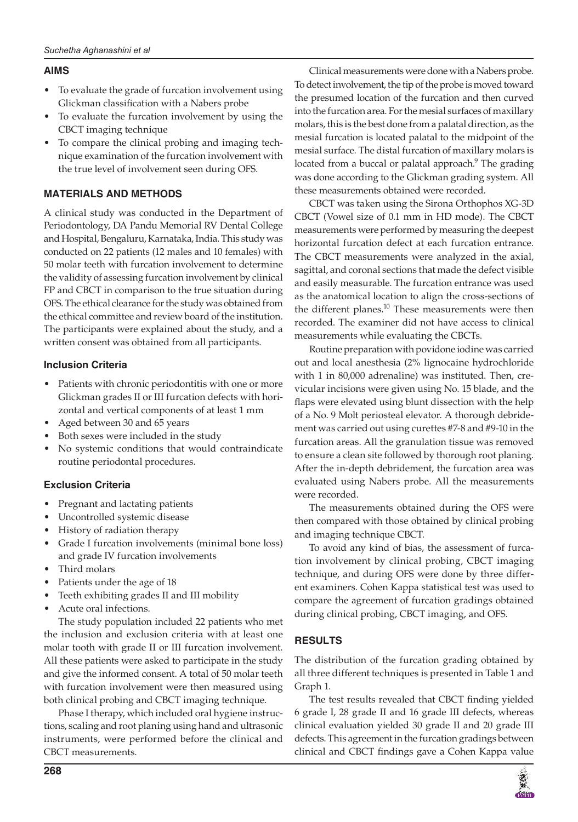# **AIMS**

- To evaluate the grade of furcation involvement using Glickman classification with a Nabers probe
- To evaluate the furcation involvement by using the CBCT imaging technique
- To compare the clinical probing and imaging technique examination of the furcation involvement with the true level of involvement seen during OFS.

# **MATERIALS AND METHODS**

 A clinical study was conducted in the Department of Periodontology, DA Pandu Memorial RV Dental College and Hospital, Bengaluru, Karnataka, India. This study was conducted on 22 patients (12 males and 10 females) with 50 molar teeth with furcation involvement to determine the validity of assessing furcation involvement by clinical FP and CBCT in comparison to the true situation during OFS. The ethical clearance for the study was obtained from the ethical committee and review board of the institution. The participants were explained about the study, and a written consent was obtained from all participants.

## **Inclusion Criteria**

- Patients with chronic periodontitis with one or more Glickman grades II or III furcation defects with horizontal and vertical components of at least 1 mm
- Aged between 30 and 65 years
- Both sexes were included in the study
- No systemic conditions that would contraindicate routine periodontal procedures.

## **Exclusion Criteria**

- Pregnant and lactating patients
- Uncontrolled systemic disease
- History of radiation therapy
- Grade I furcation involvements (minimal bone loss) and grade IV furcation involvements
- Third molars
- Patients under the age of 18
- Teeth exhibiting grades II and III mobility
- Acute oral infections.

 The study population included 22 patients who met the inclusion and exclusion criteria with at least one molar tooth with grade II or III furcation involvement. All these patients were asked to participate in the study and give the informed consent. A total of 50 molar teeth with furcation involvement were then measured using both clinical probing and CBCT imaging technique.

 Phase I therapy, which included oral hygiene instructions, scaling and root planing using hand and ultrasonic instruments, were performed before the clinical and CBCT measurements.

 Clinical measurements were done with a Nabers probe. To detect involvement, the tip of the probe is moved toward the presumed location of the furcation and then curved into the furcation area. For the mesial surfaces of maxillary molars, this is the best done from a palatal direction, as the mesial furcation is located palatal to the midpoint of the mesial surface. The distal furcation of maxillary molars is located from a buccal or palatal approach.<sup>9</sup> The grading was done according to the Glickman grading system. All these measurements obtained were recorded.

 CBCT was taken using the Sirona Orthophos XG-3D CBCT (Vowel size of 0.1 mm in HD mode). The CBCT measurements were performed by measuring the deepest horizontal furcation defect at each furcation entrance. The CBCT measurements were analyzed in the axial, sagittal, and coronal sections that made the defect visible and easily measurable. The furcation entrance was used as the anatomical location to align the cross-sections of the different planes. $10$  These measurements were then recorded. The examiner did not have access to clinical measurements while evaluating the CBCTs.

 Routine preparation with povidone iodine was carried out and local anesthesia (2% lignocaine hydrochloride with 1 in 80,000 adrenaline) was instituted. Then, crevicular incisions were given using No. 15 blade, and the flaps were elevated using blunt dissection with the help of a No. 9 Molt periosteal elevator. A thorough debridement was carried out using curettes #7-8 and #9-10 in the furcation areas. All the granulation tissue was removed to ensure a clean site followed by thorough root planing. After the in-depth debridement, the furcation area was evaluated using Nabers probe. All the measurements were recorded.

 The measurements obtained during the OFS were then compared with those obtained by clinical probing and imaging technique CBCT.

 To avoid any kind of bias, the assessment of furcation involvement by clinical probing, CBCT imaging technique, and during OFS were done by three different examiners. Cohen Kappa statistical test was used to compare the agreement of furcation gradings obtained during clinical probing, CBCT imaging, and OFS.

# **RESULTS**

 The distribution of the furcation grading obtained by all three different techniques is presented in Table 1 and Graph 1.

The test results revealed that CBCT finding yielded 6 grade I, 28 grade II and 16 grade III defects, whereas clinical evaluation yielded 30 grade II and 20 grade III defects. This agreement in the furcation gradings between clinical and CBCT findings gave a Cohen Kappa value

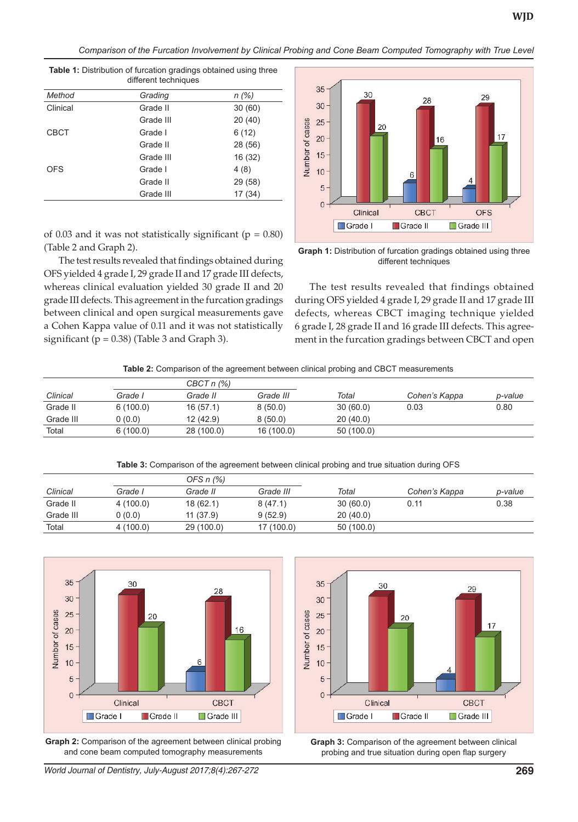29

*Comparison of the Furcation Involvement by Clinical Probing and Cone Beam Computed Tomography with True Level*

35

30

| Method      | Grading   | n(%)    |
|-------------|-----------|---------|
| Clinical    | Grade II  | 30(60)  |
|             | Grade III | 20(40)  |
| <b>CBCT</b> | Grade I   | 6(12)   |
|             | Grade II  | 28 (56) |
|             | Grade III | 16 (32) |
| <b>OFS</b>  | Grade I   | 4(8)    |
|             | Grade II  | 29 (58) |
|             | Grade III | 17 (34) |

**Table 1:** Distribution of furcation gradings obtained using three different techniques



**Graph 1:** Distribution of furcation gradings obtained using three different techniques

The test results revealed that findings obtained during OFS yielded 4 grade I, 29 grade II and 17 grade III defects, whereas CBCT imaging technique yielded 6 grade I, 28 grade II and 16 grade III defects. This agreement in the furcation gradings between CBCT and open

of 0.03 and it was not statistically significant ( $p = 0.80$ ) (Table 2 and Graph 2). The test results revealed that findings obtained during

OFS yielded 4 grade I, 29 grade II and 17 grade III defects, whereas clinical evaluation yielded 30 grade II and 20 grade III defects. This agreement in the furcation gradings between clinical and open surgical measurements gave a Cohen Kappa value of 0.11 and it was not statistically significant ( $p = 0.38$ ) (Table 3 and Graph 3).

|  |  | Table 2: Comparison of the agreement between clinical probing and CBCT measurements |  |
|--|--|-------------------------------------------------------------------------------------|--|
|  |  |                                                                                     |  |

|          | $CBCTn$ (%) |            |            |               |         |
|----------|-------------|------------|------------|---------------|---------|
| Grade I  | Grade II    | Grade III  | Total      | Cohen's Kappa | p-value |
| 6(100.0) | 16(57.1)    | 8(50.0)    | 30(60.0)   | 0.03          | 0.80    |
| 0(0.0)   | 12 (42.9)   | 8(50.0)    | 20(40.0)   |               |         |
| 6(100.0) | 28 (100.0)  | 16 (100.0) | 50 (100.0) |               |         |
|          |             |            |            |               |         |

**Table 3:** Comparison of the agreement between clinical probing and true situation during OFS

|           | OFS $n$ $(\%)$ |            |            |           |               |         |
|-----------|----------------|------------|------------|-----------|---------------|---------|
| Clinical  | Grade I        | Grade II   | Grade III  | Total     | Cohen's Kappa | p-value |
| Grade II  | 4 (100.0)      | 18(62.1)   | 8(47.1)    | 30(60.0)  | 0.11          | 0.38    |
| Grade III | 0 (0.0)        | 11(37.9)   | 9(52.9)    | 20(40.0)  |               |         |
| Total     | 4(100.0)       | 29 (100.0) | 17 (100.0) | 50(100.0) |               |         |



**Graph 2:** Comparison of the agreement between clinical probing and cone beam computed tomography measurements



**Graph 3:** Comparison of the agreement between clinical probing and true situation during open flap surgery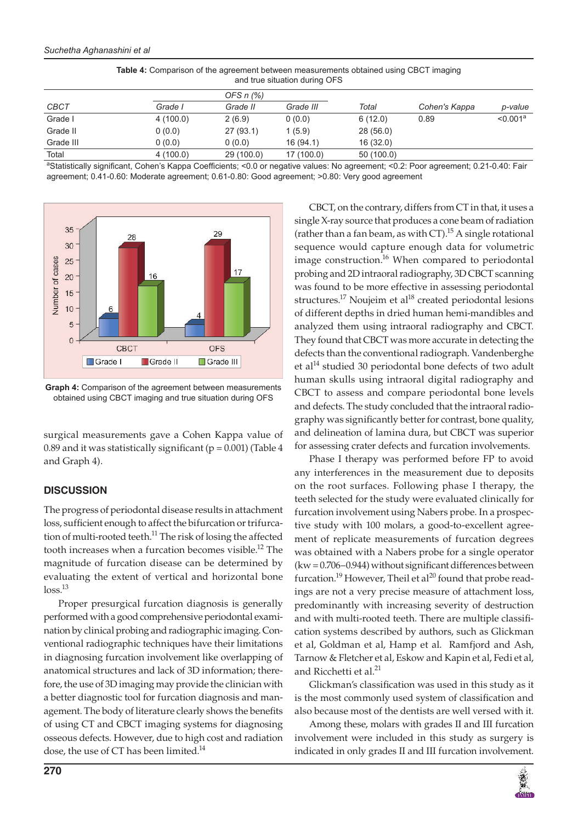| and the studion during Or O |          |                |            |           |               |                      |
|-----------------------------|----------|----------------|------------|-----------|---------------|----------------------|
|                             |          | OFS $n$ $(\%)$ |            |           |               |                      |
| <b>CBCT</b>                 | Grade I  | Grade II       | Grade III  | Total     | Cohen's Kappa | p-value              |
| Grade I                     | 4(100.0) | 2(6.9)         | 0(0.0)     | 6(12.0)   | 0.89          | < 0.001 <sup>a</sup> |
| Grade II                    | 0(0.0)   | 27(93.1)       | 1(5.9)     | 28(56.0)  |               |                      |
| Grade III                   | 0(0.0)   | 0(0.0)         | 16(94.1)   | 16(32.0)  |               |                      |
| Total                       | 4(100.0) | 29 (100.0)     | 17 (100.0) | 50(100.0) |               |                      |

**Table 4:** Comparison of the agreement between measurements obtained using CBCT imaging and true situation during OFS

aStatistically significant, Cohen's Kappa Coefficients; <0.0 or negative values: No agreement; <0.2: Poor agreement; 0.21-0.40: Fair agreement; 0.41-0.60: Moderate agreement; 0.61-0.80: Good agreement; >0.80: Very good agreement



**Graph 4:** Comparison of the agreement between measurements obtained using CBCT imaging and true situation during OFS

surgical measurements gave a Cohen Kappa value of 0.89 and it was statistically significant ( $p = 0.001$ ) (Table 4 and Graph 4).

## **DISCUSSION**

 The progress of periodontal disease results in attachment loss, sufficient enough to affect the bifurcation or trifurcation of multi-rooted teeth.<sup>11</sup> The risk of losing the affected tooth increases when a furcation becomes visible.<sup>12</sup> The magnitude of furcation disease can be determined by evaluating the extent of vertical and horizontal bone  $loss<sup>13</sup>$ 

 Proper presurgical furcation diagnosis is generally performed with a good comprehensive periodontal examination by clinical probing and radiographic imaging. Conventional radiographic techniques have their limitations in diagnosing furcation involvement like overlapping of anatomical structures and lack of 3D information; therefore, the use of 3D imaging may provide the clinician with a better diagnostic tool for furcation diagnosis and management. The body of literature clearly shows the benefits of using CT and CBCT imaging systems for diagnosing osseous defects. However, due to high cost and radiation dose, the use of CT has been limited.<sup>14</sup>

 CBCT, on the contrary, differs from CT in that, it uses a single X-ray source that produces a cone beam of radiation (rather than a fan beam, as with CT).<sup>15</sup> A single rotational sequence would capture enough data for volumetric image construction.<sup>16</sup> When compared to periodontal probing and 2D intraoral radiography, 3D CBCT scanning was found to be more effective in assessing periodontal structures.<sup>17</sup> Noujeim et al<sup>18</sup> created periodontal lesions of different depths in dried human hemi-mandibles and analyzed them using intraoral radiography and CBCT. They found that CBCT was more accurate in detecting the defects than the conventional radiograph. Vandenberghe et al<sup>14</sup> studied 30 periodontal bone defects of two adult human skulls using intraoral digital radiography and CBCT to assess and compare periodontal bone levels and defects. The study concluded that the intraoral radiography was significantly better for contrast, bone quality, and delineation of lamina dura, but CBCT was superior for assessing crater defects and furcation involvements.

 Phase I therapy was performed before FP to avoid any interferences in the measurement due to deposits on the root surfaces. Following phase I therapy, the teeth selected for the study were evaluated clinically for furcation involvement using Nabers probe. In a prospective study with 100 molars, a good-to-excellent agreement of replicate measurements of furcation degrees was obtained with a Nabers probe for a single operator  $(kw = 0.706 - 0.944)$  without significant differences between furcation.<sup>19</sup> However, Theil et al<sup>20</sup> found that probe readings are not a very precise measure of attachment loss, predominantly with increasing severity of destruction and with multi-rooted teeth. There are multiple classification systems described by authors, such as Glickman et al, Goldman et al, Hamp et al. Ramfjord and Ash, Tarnow & Fletcher et al, Eskow and Kapin et al, Fedi et al, and Ricchetti et al.<sup>21</sup>

Glickman's classification was used in this study as it is the most commonly used system of classification and also because most of the dentists are well versed with it.

 Among these, molars with grades II and III furcation involvement were included in this study as surgery is indicated in only grades II and III furcation involvement.

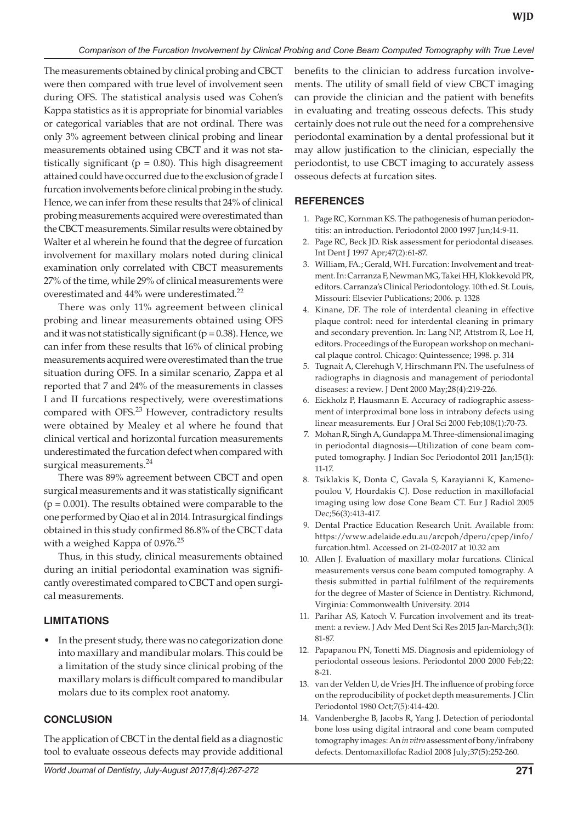The measurements obtained by clinical probing and CBCT were then compared with true level of involvement seen during OFS. The statistical analysis used was Cohen's Kappa statistics as it is appropriate for binomial variables or categorical variables that are not ordinal. There was only 3% agreement between clinical probing and linear measurements obtained using CBCT and it was not statistically significant ( $p = 0.80$ ). This high disagreement attained could have occurred due to the exclusion of grade I furcation involvements before clinical probing in the study. Hence, we can infer from these results that 24% of clinical probing measurements acquired were overestimated than the CBCT measurements. Similar results were obtained by Walter et al wherein he found that the degree of furcation involvement for maxillary molars noted during clinical examination only correlated with CBCT measurements 27% of the time, while 29% of clinical measurements were overestimated and 44% were underestimated.<sup>22</sup>

There was only 11% agreement between clinical probing and linear measurements obtained using OFS and it was not statistically significant ( $p = 0.38$ ). Hence, we can infer from these results that 16% of clinical probing measurements acquired were overestimated than the true situation during OFS. In a similar scenario, Zappa et al reported that 7 and 24% of the measurements in classes I and II furcations respectively, were overestimations compared with OFS.<sup>23</sup> However, contradictory results were obtained by Mealey et al where he found that clinical vertical and horizontal furcation measurements underestimated the furcation defect when compared with surgical measurements.<sup>24</sup>

There was 89% agreement between CBCT and open surgical measurements and it was statistically significant  $(p = 0.001)$ . The results obtained were comparable to the one performed by Qiao et al in 2014. Intrasurgical findings obtained in this study confirmed 86.8% of the CBCT data with a weighed Kappa of 0.976.<sup>25</sup>

Thus, in this study, clinical measurements obtained during an initial periodontal examination was significantly overestimated compared to CBCT and open surgical measurements.

## **LIMITATIONS**

In the present study, there was no categorization done into maxillary and mandibular molars. This could be a limitation of the study since clinical probing of the maxillary molars is difficult compared to mandibular molars due to its complex root anatomy.

#### **CONCLUSION**

The application of CBCT in the dental field as a diagnostic tool to evaluate osseous defects may provide additional benefits to the clinician to address furcation involvements. The utility of small field of view CBCT imaging can provide the clinician and the patient with benefits in evaluating and treating osseous defects. This study certainly does not rule out the need for a comprehensive periodontal examination by a dental professional but it may allow justification to the clinician, especially the periodontist, to use CBCT imaging to accurately assess osseous defects at furcation sites.

#### **REFERENCES**

- 1. Page RC, Kornman KS. The pathogenesis of human periodontitis: an introduction. Periodontol 2000 1997 Jun;14:9-11.
- 2. Page RC, Beck JD. Risk assessment for periodontal diseases. Int Dent J 1997 Apr;47(2):61-87.
- 3. William, FA.; Gerald, WH. Furcation: Involvement and treatment. In: Carranza F, Newman MG, Takei HH, Klokkevold PR, editors. Carranza's Clinical Periodontology. 10th ed. St. Louis, Missouri: Elsevier Publications; 2006. p. 1328
- 4. Kinane, DF. The role of interdental cleaning in effective plaque control: need for interdental cleaning in primary and secondary prevention. In: Lang NP, Attstrom R, Loe H, editors. Proceedings of the European workshop on mechanical plaque control. Chicago: Quintessence; 1998. p. 314
- 5. Tugnait A, Clerehugh V, Hirschmann PN. The usefulness of radiographs in diagnosis and management of periodontal diseases: a review. J Dent 2000 May;28(4):219-226.
- 6. Eickholz P, Hausmann E. Accuracy of radiographic assessment of interproximal bone loss in intrabony defects using linear measurements. Eur J Oral Sci 2000 Feb;108(1):70-73.
- 7. Mohan R, Singh A, Gundappa M. Three-dimensional imaging in periodontal diagnosis—Utilization of cone beam computed tomography. J Indian Soc Periodontol 2011 Jan;15(1): 11-17.
- 8. Tsiklakis K, Donta C, Gavala S, Karayianni K, Kamenopoulou V, Hourdakis CJ. Dose reduction in maxillofacial imaging using low dose Cone Beam CT. Eur J Radiol 2005 Dec;56(3):413-417.
- 9. Dental Practice Education Research Unit. Available from: https://www.adelaide.edu.au/arcpoh/dperu/cpep/info/ furcation.html. Accessed on 21-02-2017 at 10.32 am
- 10. Allen J. Evaluation of maxillary molar furcations. Clinical measurements versus cone beam computed tomography. A thesis submitted in partial fulfilment of the requirements for the degree of Master of Science in Dentistry. Richmond, Virginia: Commonwealth University. 2014
- 11. Parihar AS, Katoch V. Furcation involvement and its treatment: a review. J Adv Med Dent Sci Res 2015 Jan-March;3(1): 81-87.
- 12. Papapanou PN, Tonetti MS. Diagnosis and epidemiology of periodontal osseous lesions. Periodontol 2000 2000 Feb;22: 8-21.
- 13. van der Velden U, de Vries JH. The influence of probing force on the reproducibility of pocket depth measurements. J Clin Periodontol 1980 Oct;7(5):414-420.
- 14. Vandenberghe B, Jacobs R, Yang J. Detection of periodontal bone loss using digital intraoral and cone beam computed tomography images: An *in vitro* assessment of bony/infrabony defects. Dentomaxillofac Radiol 2008 July;37(5):252-260.